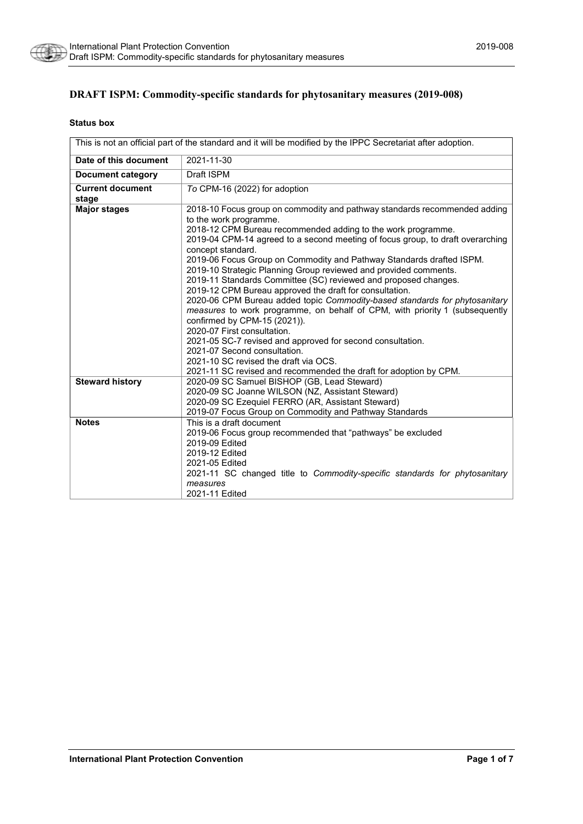

# **DRAFT ISPM: Commodity-specific standards for phytosanitary measures (2019-008)**

#### **Status box**

| This is not an official part of the standard and it will be modified by the IPPC Secretariat after adoption. |                                                                                          |  |
|--------------------------------------------------------------------------------------------------------------|------------------------------------------------------------------------------------------|--|
| Date of this document                                                                                        | 2021-11-30                                                                               |  |
| <b>Document category</b>                                                                                     | Draft ISPM                                                                               |  |
| <b>Current document</b>                                                                                      | To CPM-16 (2022) for adoption                                                            |  |
| stage                                                                                                        |                                                                                          |  |
| <b>Major stages</b>                                                                                          | 2018-10 Focus group on commodity and pathway standards recommended adding                |  |
|                                                                                                              | to the work programme.                                                                   |  |
|                                                                                                              | 2018-12 CPM Bureau recommended adding to the work programme.                             |  |
|                                                                                                              | 2019-04 CPM-14 agreed to a second meeting of focus group, to draft overarching           |  |
|                                                                                                              | concept standard.                                                                        |  |
|                                                                                                              | 2019-06 Focus Group on Commodity and Pathway Standards drafted ISPM.                     |  |
|                                                                                                              | 2019-10 Strategic Planning Group reviewed and provided comments.                         |  |
|                                                                                                              | 2019-11 Standards Committee (SC) reviewed and proposed changes.                          |  |
|                                                                                                              | 2019-12 CPM Bureau approved the draft for consultation.                                  |  |
|                                                                                                              | 2020-06 CPM Bureau added topic Commodity-based standards for phytosanitary               |  |
|                                                                                                              | measures to work programme, on behalf of CPM, with priority 1 (subsequently              |  |
|                                                                                                              | confirmed by CPM-15 (2021)).                                                             |  |
|                                                                                                              | 2020-07 First consultation.                                                              |  |
|                                                                                                              | 2021-05 SC-7 revised and approved for second consultation.                               |  |
|                                                                                                              | 2021-07 Second consultation.                                                             |  |
|                                                                                                              | 2021-10 SC revised the draft via OCS.                                                    |  |
|                                                                                                              | 2021-11 SC revised and recommended the draft for adoption by CPM.                        |  |
| <b>Steward history</b>                                                                                       | 2020-09 SC Samuel BISHOP (GB, Lead Steward)                                              |  |
|                                                                                                              | 2020-09 SC Joanne WILSON (NZ, Assistant Steward)                                         |  |
|                                                                                                              | 2020-09 SC Ezequiel FERRO (AR, Assistant Steward)                                        |  |
|                                                                                                              | 2019-07 Focus Group on Commodity and Pathway Standards                                   |  |
| <b>Notes</b>                                                                                                 | This is a draft document                                                                 |  |
|                                                                                                              | 2019-06 Focus group recommended that "pathways" be excluded                              |  |
|                                                                                                              | 2019-09 Edited                                                                           |  |
|                                                                                                              | 2019-12 Edited                                                                           |  |
|                                                                                                              | 2021-05 Edited                                                                           |  |
|                                                                                                              | 2021-11 SC changed title to <i>Commodity-specific</i> standards for <i>phytosanitary</i> |  |
|                                                                                                              | measures                                                                                 |  |
|                                                                                                              | 2021-11 Edited                                                                           |  |
|                                                                                                              |                                                                                          |  |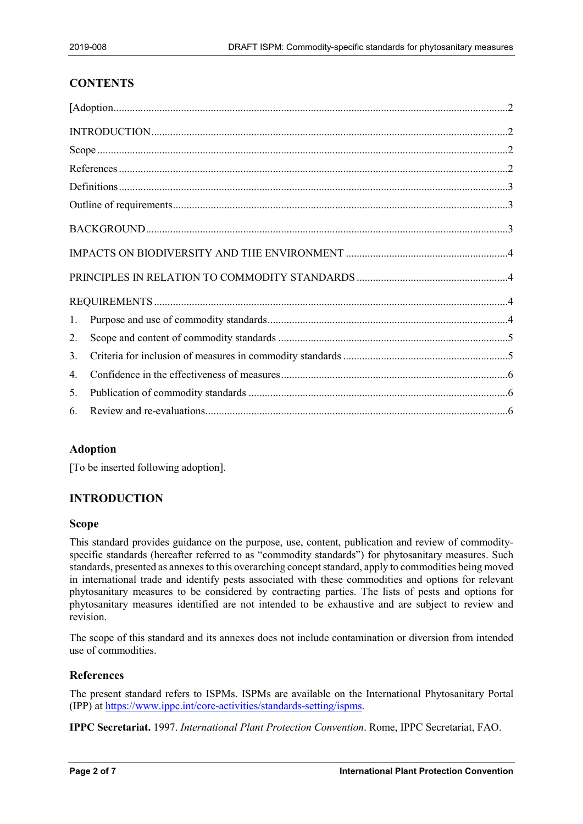# **CONTENTS**

| 1. |  |
|----|--|
| 2. |  |
| 3. |  |
| 4. |  |
| 5. |  |
| 6. |  |

#### <span id="page-1-0"></span>**Adoption**

[To be inserted following adoption].

#### <span id="page-1-1"></span>**INTRODUCTION**

#### <span id="page-1-2"></span>**Scope**

This standard provides guidance on the purpose, use, content, publication and review of commodityspecific standards (hereafter referred to as "commodity standards") for phytosanitary measures. Such standards, presented as annexes to this overarching concept standard, apply to commodities being moved in international trade and identify pests associated with these commodities and options for relevant phytosanitary measures to be considered by contracting parties. The lists of pests and options for phytosanitary measures identified are not intended to be exhaustive and are subject to review and revision.

The scope of this standard and its annexes does not include contamination or diversion from intended use of commodities.

#### <span id="page-1-3"></span>**References**

The present standard refers to ISPMs. ISPMs are available on the International Phytosanitary Portal (IPP) at [https://www.ippc.int/core-activities/standards-setting/ispms.](https://www.ippc.int/core-activities/standards-setting/ispms)

**IPPC Secretariat.** 1997. *International Plant Protection Convention*. Rome, IPPC Secretariat, FAO.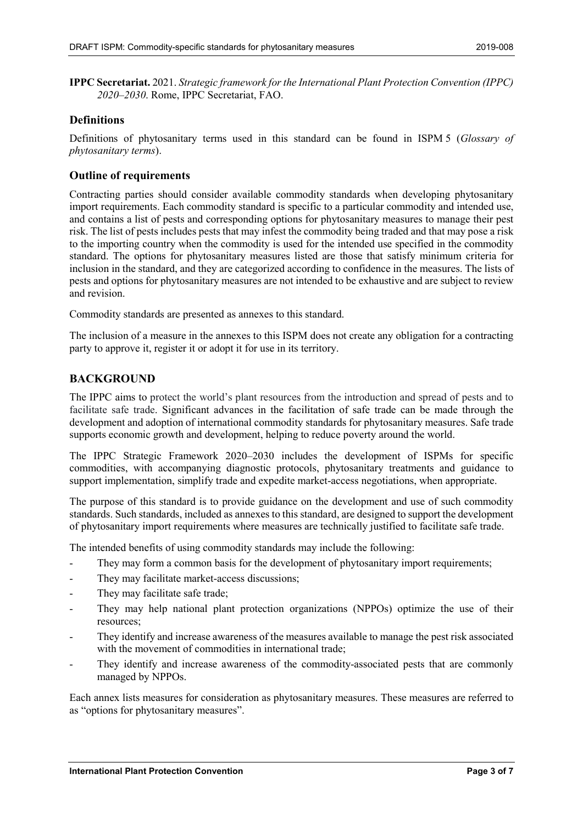**IPPC Secretariat.** 2021. *Strategic framework for the International Plant Protection Convention (IPPC) 2020–2030*. Rome, IPPC Secretariat, FAO.

#### <span id="page-2-0"></span>**Definitions**

Definitions of phytosanitary terms used in this standard can be found in ISPM 5 (*Glossary of phytosanitary terms*).

#### <span id="page-2-1"></span>**Outline of requirements**

Contracting parties should consider available commodity standards when developing phytosanitary import requirements. Each commodity standard is specific to a particular commodity and intended use, and contains a list of pests and corresponding options for phytosanitary measures to manage their pest risk. The list of pests includes pests that may infest the commodity being traded and that may pose a risk to the importing country when the commodity is used for the intended use specified in the commodity standard. The options for phytosanitary measures listed are those that satisfy minimum criteria for inclusion in the standard, and they are categorized according to confidence in the measures. The lists of pests and options for phytosanitary measures are not intended to be exhaustive and are subject to review and revision.

Commodity standards are presented as annexes to this standard.

The inclusion of a measure in the annexes to this ISPM does not create any obligation for a contracting party to approve it, register it or adopt it for use in its territory.

#### <span id="page-2-2"></span>**BACKGROUND**

The IPPC aims to protect the world's plant resources from the introduction and spread of pests and to facilitate safe trade. Significant advances in the facilitation of safe trade can be made through the development and adoption of international commodity standards for phytosanitary measures. Safe trade supports economic growth and development, helping to reduce poverty around the world.

The IPPC Strategic Framework 2020–2030 includes the development of ISPMs for specific commodities, with accompanying diagnostic protocols, phytosanitary treatments and guidance to support implementation, simplify trade and expedite market-access negotiations, when appropriate.

The purpose of this standard is to provide guidance on the development and use of such commodity standards. Such standards, included as annexes to this standard, are designed to support the development of phytosanitary import requirements where measures are technically justified to facilitate safe trade.

The intended benefits of using commodity standards may include the following:

- They may form a common basis for the development of phytosanitary import requirements;
- They may facilitate market-access discussions;
- They may facilitate safe trade;
- They may help national plant protection organizations (NPPOs) optimize the use of their resources;
- They identify and increase awareness of the measures available to manage the pest risk associated with the movement of commodities in international trade;
- They identify and increase awareness of the commodity-associated pests that are commonly managed by NPPOs.

Each annex lists measures for consideration as phytosanitary measures. These measures are referred to as "options for phytosanitary measures".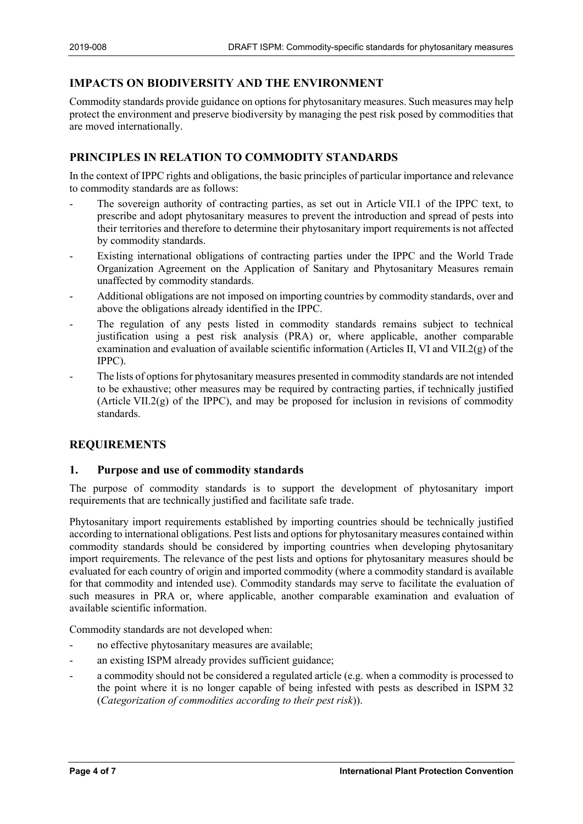# <span id="page-3-0"></span>**IMPACTS ON BIODIVERSITY AND THE ENVIRONMENT**

Commodity standards provide guidance on options for phytosanitary measures. Such measures may help protect the environment and preserve biodiversity by managing the pest risk posed by commodities that are moved internationally.

# <span id="page-3-1"></span>**PRINCIPLES IN RELATION TO COMMODITY STANDARDS**

In the context of IPPC rights and obligations, the basic principles of particular importance and relevance to commodity standards are as follows:

- The sovereign authority of contracting parties, as set out in Article VII.1 of the IPPC text, to prescribe and adopt phytosanitary measures to prevent the introduction and spread of pests into their territories and therefore to determine their phytosanitary import requirements is not affected by commodity standards.
- Existing international obligations of contracting parties under the IPPC and the World Trade Organization Agreement on the Application of Sanitary and Phytosanitary Measures remain unaffected by commodity standards.
- Additional obligations are not imposed on importing countries by commodity standards, over and above the obligations already identified in the IPPC.
- The regulation of any pests listed in commodity standards remains subject to technical justification using a pest risk analysis (PRA) or, where applicable, another comparable examination and evaluation of available scientific information (Articles II, VI and VII.2( $g$ ) of the IPPC).
- The lists of options for phytosanitary measures presented in commodity standards are not intended to be exhaustive; other measures may be required by contracting parties, if technically justified (Article VII.2(g) of the IPPC), and may be proposed for inclusion in revisions of commodity standards.

#### <span id="page-3-2"></span>**REQUIREMENTS**

#### <span id="page-3-3"></span>**1. Purpose and use of commodity standards**

The purpose of commodity standards is to support the development of phytosanitary import requirements that are technically justified and facilitate safe trade.

Phytosanitary import requirements established by importing countries should be technically justified according to international obligations. Pest lists and options for phytosanitary measures contained within commodity standards should be considered by importing countries when developing phytosanitary import requirements. The relevance of the pest lists and options for phytosanitary measures should be evaluated for each country of origin and imported commodity (where a commodity standard is available for that commodity and intended use). Commodity standards may serve to facilitate the evaluation of such measures in PRA or, where applicable, another comparable examination and evaluation of available scientific information.

Commodity standards are not developed when:

- no effective phytosanitary measures are available;
- an existing ISPM already provides sufficient guidance;
- a commodity should not be considered a regulated article (e.g. when a commodity is processed to the point where it is no longer capable of being infested with pests as described in ISPM 32 (*Categorization of commodities according to their pest risk*)).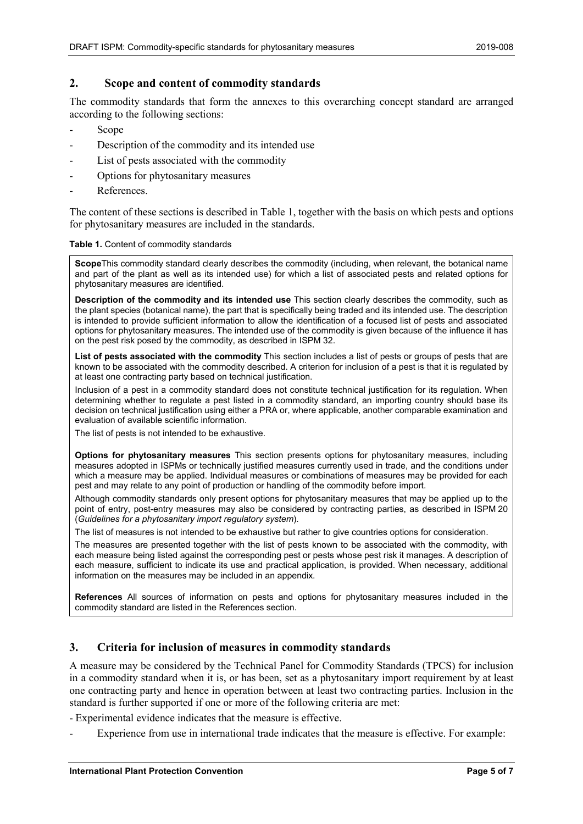#### <span id="page-4-0"></span>**2. Scope and content of commodity standards**

The commodity standards that form the annexes to this overarching concept standard are arranged according to the following sections:

- Scope<sup>1</sup>
- Description of the commodity and its intended use
- List of pests associated with the commodity
- Options for phytosanitary measures
- References.

The content of these sections is described in Table 1, together with the basis on which pests and options for phytosanitary measures are included in the standards.

**Table 1.** Content of commodity standards

**Scope**This commodity standard clearly describes the commodity (including, when relevant, the botanical name and part of the plant as well as its intended use) for which a list of associated pests and related options for phytosanitary measures are identified.

**Description of the commodity and its intended use** This section clearly describes the commodity, such as the plant species (botanical name), the part that is specifically being traded and its intended use. The description is intended to provide sufficient information to allow the identification of a focused list of pests and associated options for phytosanitary measures. The intended use of the commodity is given because of the influence it has on the pest risk posed by the commodity, as described in ISPM 32.

**List of pests associated with the commodity** This section includes a list of pests or groups of pests that are known to be associated with the commodity described. A criterion for inclusion of a pest is that it is regulated by at least one contracting party based on technical justification.

Inclusion of a pest in a commodity standard does not constitute technical justification for its regulation. When determining whether to regulate a pest listed in a commodity standard, an importing country should base its decision on technical justification using either a PRA or, where applicable, another comparable examination and evaluation of available scientific information.

The list of pests is not intended to be exhaustive.

**Options for phytosanitary measures** This section presents options for phytosanitary measures, including measures adopted in ISPMs or technically justified measures currently used in trade, and the conditions under which a measure may be applied. Individual measures or combinations of measures may be provided for each pest and may relate to any point of production or handling of the commodity before import.

Although commodity standards only present options for phytosanitary measures that may be applied up to the point of entry, post-entry measures may also be considered by contracting parties, as described in ISPM 20 (*Guidelines for a phytosanitary import regulatory system*).

The list of measures is not intended to be exhaustive but rather to give countries options for consideration.

The measures are presented together with the list of pests known to be associated with the commodity, with each measure being listed against the corresponding pest or pests whose pest risk it manages. A description of each measure, sufficient to indicate its use and practical application, is provided. When necessary, additional information on the measures may be included in an appendix.

**References** All sources of information on pests and options for phytosanitary measures included in the commodity standard are listed in the References section.

#### <span id="page-4-1"></span>**3. Criteria for inclusion of measures in commodity standards**

A measure may be considered by the Technical Panel for Commodity Standards (TPCS) for inclusion in a commodity standard when it is, or has been, set as a phytosanitary import requirement by at least one contracting party and hence in operation between at least two contracting parties. Inclusion in the standard is further supported if one or more of the following criteria are met:

- Experimental evidence indicates that the measure is effective.

Experience from use in international trade indicates that the measure is effective. For example: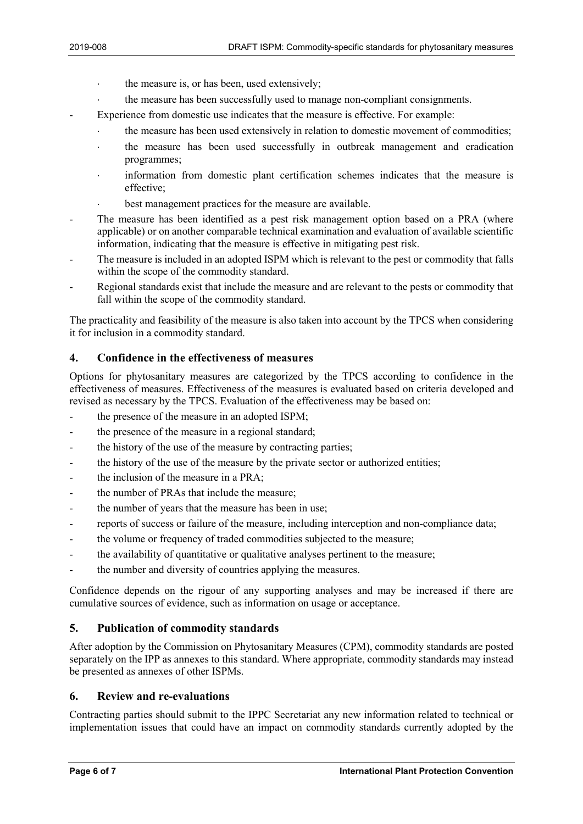- ⋅ the measure is, or has been, used extensively;
- the measure has been successfully used to manage non-compliant consignments.
- Experience from domestic use indicates that the measure is effective. For example:
	- the measure has been used extensively in relation to domestic movement of commodities;
		- the measure has been used successfully in outbreak management and eradication programmes;
		- information from domestic plant certification schemes indicates that the measure is effective;
		- best management practices for the measure are available.
- The measure has been identified as a pest risk management option based on a PRA (where applicable) or on another comparable technical examination and evaluation of available scientific information, indicating that the measure is effective in mitigating pest risk.
- The measure is included in an adopted ISPM which is relevant to the pest or commodity that falls within the scope of the commodity standard.
- Regional standards exist that include the measure and are relevant to the pests or commodity that fall within the scope of the commodity standard.

The practicality and feasibility of the measure is also taken into account by the TPCS when considering it for inclusion in a commodity standard.

# <span id="page-5-0"></span>**4. Confidence in the effectiveness of measures**

Options for phytosanitary measures are categorized by the TPCS according to confidence in the effectiveness of measures. Effectiveness of the measures is evaluated based on criteria developed and revised as necessary by the TPCS. Evaluation of the effectiveness may be based on:

- the presence of the measure in an adopted ISPM;
- the presence of the measure in a regional standard;
- the history of the use of the measure by contracting parties;
- the history of the use of the measure by the private sector or authorized entities;
- the inclusion of the measure in a PRA:
- the number of PRAs that include the measure;
- the number of years that the measure has been in use;
- reports of success or failure of the measure, including interception and non-compliance data;
- the volume or frequency of traded commodities subjected to the measure;
- the availability of quantitative or qualitative analyses pertinent to the measure;
- the number and diversity of countries applying the measures.

Confidence depends on the rigour of any supporting analyses and may be increased if there are cumulative sources of evidence, such as information on usage or acceptance.

# <span id="page-5-1"></span>**5. Publication of commodity standards**

After adoption by the Commission on Phytosanitary Measures (CPM), commodity standards are posted separately on the IPP as annexes to this standard. Where appropriate, commodity standards may instead be presented as annexes of other ISPMs.

#### <span id="page-5-2"></span>**6. Review and re-evaluations**

Contracting parties should submit to the IPPC Secretariat any new information related to technical or implementation issues that could have an impact on commodity standards currently adopted by the